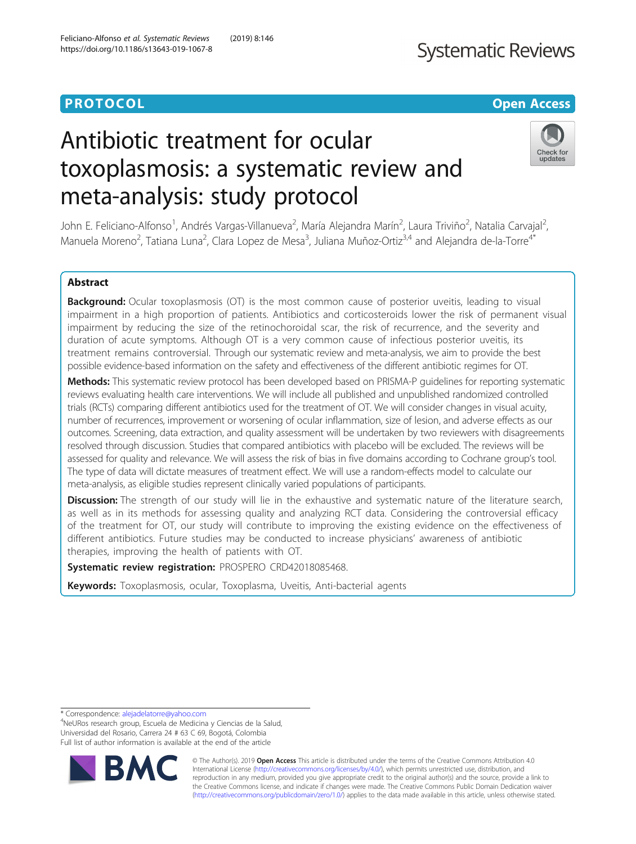## **PROTOCOL CONSUMING THE CONSUMING TEACHER CONSUMING THE CONSUMING TEACHER CONSUMING THE CONSUMING TEACHER CONSUMING**

## **Systematic Reviews**

# Antibiotic treatment for ocular toxoplasmosis: a systematic review and meta-analysis: study protocol



John E. Feliciano-Alfonso<sup>1</sup>, Andrés Vargas-Villanueva<sup>2</sup>, María Alejandra Marín<sup>2</sup>, Laura Triviño<sup>2</sup>, Natalia Carvajal<sup>2</sup> , Manuela Moreno<sup>2</sup>, Tatiana Luna<sup>2</sup>, Clara Lopez de Mesa<sup>3</sup>, Juliana Muñoz-Ortiz<sup>3,4</sup> and Alejandra de-la-Torre<sup>4\*</sup>

## Abstract

Background: Ocular toxoplasmosis (OT) is the most common cause of posterior uveitis, leading to visual impairment in a high proportion of patients. Antibiotics and corticosteroids lower the risk of permanent visual impairment by reducing the size of the retinochoroidal scar, the risk of recurrence, and the severity and duration of acute symptoms. Although OT is a very common cause of infectious posterior uveitis, its treatment remains controversial. Through our systematic review and meta-analysis, we aim to provide the best possible evidence-based information on the safety and effectiveness of the different antibiotic regimes for OT.

Methods: This systematic review protocol has been developed based on PRISMA-P quidelines for reporting systematic reviews evaluating health care interventions. We will include all published and unpublished randomized controlled trials (RCTs) comparing different antibiotics used for the treatment of OT. We will consider changes in visual acuity, number of recurrences, improvement or worsening of ocular inflammation, size of lesion, and adverse effects as our outcomes. Screening, data extraction, and quality assessment will be undertaken by two reviewers with disagreements resolved through discussion. Studies that compared antibiotics with placebo will be excluded. The reviews will be assessed for quality and relevance. We will assess the risk of bias in five domains according to Cochrane group's tool. The type of data will dictate measures of treatment effect. We will use a random-effects model to calculate our meta-analysis, as eligible studies represent clinically varied populations of participants.

Discussion: The strength of our study will lie in the exhaustive and systematic nature of the literature search, as well as in its methods for assessing quality and analyzing RCT data. Considering the controversial efficacy of the treatment for OT, our study will contribute to improving the existing evidence on the effectiveness of different antibiotics. Future studies may be conducted to increase physicians' awareness of antibiotic therapies, improving the health of patients with OT.

Systematic review registration: PROSPERO CRD42018085468.

Keywords: Toxoplasmosis, ocular, Toxoplasma, Uveitis, Anti-bacterial agents

\* Correspondence: [alejadelatorre@yahoo.com](mailto:alejadelatorre@yahoo.com) <sup>4</sup>

NeURos research group, Escuela de Medicina y Ciencias de la Salud, Universidad del Rosario, Carrera 24 # 63 C 69, Bogotá, Colombia Full list of author information is available at the end of the article



© The Author(s). 2019 **Open Access** This article is distributed under the terms of the Creative Commons Attribution 4.0 International License [\(http://creativecommons.org/licenses/by/4.0/](http://creativecommons.org/licenses/by/4.0/)), which permits unrestricted use, distribution, and reproduction in any medium, provided you give appropriate credit to the original author(s) and the source, provide a link to the Creative Commons license, and indicate if changes were made. The Creative Commons Public Domain Dedication waiver [\(http://creativecommons.org/publicdomain/zero/1.0/](http://creativecommons.org/publicdomain/zero/1.0/)) applies to the data made available in this article, unless otherwise stated.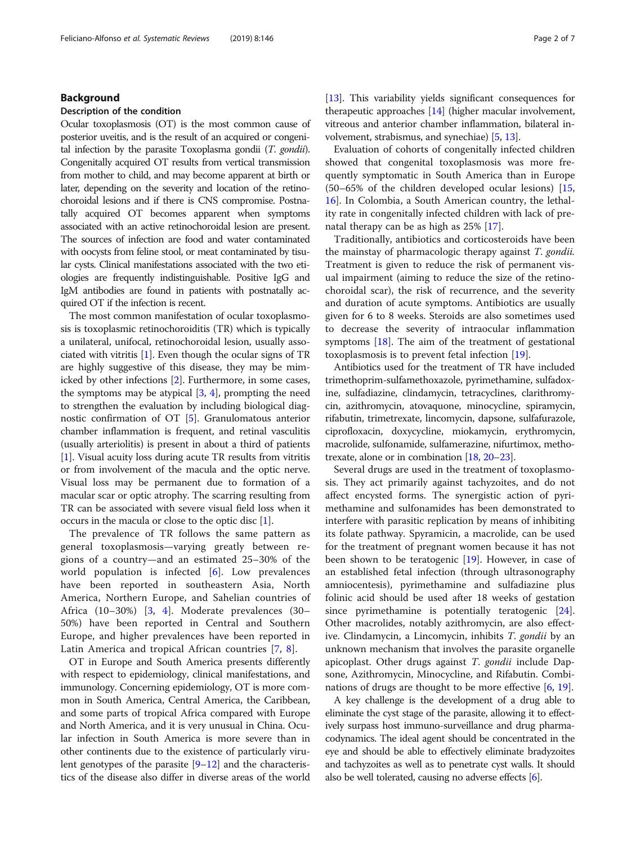#### Background

#### Description of the condition

Ocular toxoplasmosis (OT) is the most common cause of posterior uveitis, and is the result of an acquired or congenital infection by the parasite Toxoplasma gondii (T. gondii). Congenitally acquired OT results from vertical transmission from mother to child, and may become apparent at birth or later, depending on the severity and location of the retinochoroidal lesions and if there is CNS compromise. Postnatally acquired OT becomes apparent when symptoms associated with an active retinochoroidal lesion are present. The sources of infection are food and water contaminated with oocysts from feline stool, or meat contaminated by tisular cysts. Clinical manifestations associated with the two etiologies are frequently indistinguishable. Positive IgG and IgM antibodies are found in patients with postnatally acquired OT if the infection is recent.

The most common manifestation of ocular toxoplasmosis is toxoplasmic retinochoroiditis (TR) which is typically a unilateral, unifocal, retinochoroidal lesion, usually associated with vitritis [[1\]](#page-5-0). Even though the ocular signs of TR are highly suggestive of this disease, they may be mimicked by other infections [\[2\]](#page-5-0). Furthermore, in some cases, the symptoms may be atypical  $[3, 4]$  $[3, 4]$  $[3, 4]$  $[3, 4]$ , prompting the need to strengthen the evaluation by including biological diagnostic confirmation of OT [[5](#page-5-0)]. Granulomatous anterior chamber inflammation is frequent, and retinal vasculitis (usually arteriolitis) is present in about a third of patients [[1\]](#page-5-0). Visual acuity loss during acute TR results from vitritis or from involvement of the macula and the optic nerve. Visual loss may be permanent due to formation of a macular scar or optic atrophy. The scarring resulting from TR can be associated with severe visual field loss when it occurs in the macula or close to the optic disc [\[1](#page-5-0)].

The prevalence of TR follows the same pattern as general toxoplasmosis—varying greatly between regions of a country—and an estimated 25–30% of the world population is infected [[6\]](#page-5-0). Low prevalences have been reported in southeastern Asia, North America, Northern Europe, and Sahelian countries of Africa (10–30%) [\[3](#page-5-0), [4](#page-5-0)]. Moderate prevalences (30– 50%) have been reported in Central and Southern Europe, and higher prevalences have been reported in Latin America and tropical African countries [[7](#page-5-0), [8](#page-5-0)].

OT in Europe and South America presents differently with respect to epidemiology, clinical manifestations, and immunology. Concerning epidemiology, OT is more common in South America, Central America, the Caribbean, and some parts of tropical Africa compared with Europe and North America, and it is very unusual in China. Ocular infection in South America is more severe than in other continents due to the existence of particularly virulent genotypes of the parasite [[9](#page-5-0)–[12](#page-5-0)] and the characteristics of the disease also differ in diverse areas of the world [[13](#page-5-0)]. This variability yields significant consequences for therapeutic approaches [\[14\]](#page-5-0) (higher macular involvement, vitreous and anterior chamber inflammation, bilateral involvement, strabismus, and synechiae) [\[5](#page-5-0), [13](#page-5-0)].

Evaluation of cohorts of congenitally infected children showed that congenital toxoplasmosis was more frequently symptomatic in South America than in Europe (50–65% of the children developed ocular lesions) [[15](#page-5-0), [16\]](#page-5-0). In Colombia, a South American country, the lethality rate in congenitally infected children with lack of prenatal therapy can be as high as 25% [[17\]](#page-5-0).

Traditionally, antibiotics and corticosteroids have been the mainstay of pharmacologic therapy against T. gondii. Treatment is given to reduce the risk of permanent visual impairment (aiming to reduce the size of the retinochoroidal scar), the risk of recurrence, and the severity and duration of acute symptoms. Antibiotics are usually given for 6 to 8 weeks. Steroids are also sometimes used to decrease the severity of intraocular inflammation symptoms [\[18](#page-6-0)]. The aim of the treatment of gestational toxoplasmosis is to prevent fetal infection [\[19\]](#page-6-0).

Antibiotics used for the treatment of TR have included trimethoprim-sulfamethoxazole, pyrimethamine, sulfadoxine, sulfadiazine, clindamycin, tetracyclines, clarithromycin, azithromycin, atovaquone, minocycline, spiramycin, rifabutin, trimetrexate, lincomycin, dapsone, sulfafurazole, ciprofloxacin, doxycycline, miokamycin, erythromycin, macrolide, sulfonamide, sulfamerazine, nifurtimox, methotrexate, alone or in combination [\[18](#page-6-0), [20](#page-6-0)–[23\]](#page-6-0).

Several drugs are used in the treatment of toxoplasmosis. They act primarily against tachyzoites, and do not affect encysted forms. The synergistic action of pyrimethamine and sulfonamides has been demonstrated to interfere with parasitic replication by means of inhibiting its folate pathway. Spyramicin, a macrolide, can be used for the treatment of pregnant women because it has not been shown to be teratogenic [[19](#page-6-0)]. However, in case of an established fetal infection (through ultrasonography amniocentesis), pyrimethamine and sulfadiazine plus folinic acid should be used after 18 weeks of gestation since pyrimethamine is potentially teratogenic [\[24](#page-6-0)]. Other macrolides, notably azithromycin, are also effective. Clindamycin, a Lincomycin, inhibits T. gondii by an unknown mechanism that involves the parasite organelle apicoplast. Other drugs against T. gondii include Dapsone, Azithromycin, Minocycline, and Rifabutin. Combi-nations of drugs are thought to be more effective [\[6](#page-5-0), [19](#page-6-0)].

A key challenge is the development of a drug able to eliminate the cyst stage of the parasite, allowing it to effectively surpass host immuno-surveillance and drug pharmacodynamics. The ideal agent should be concentrated in the eye and should be able to effectively eliminate bradyzoites and tachyzoites as well as to penetrate cyst walls. It should also be well tolerated, causing no adverse effects [\[6\]](#page-5-0).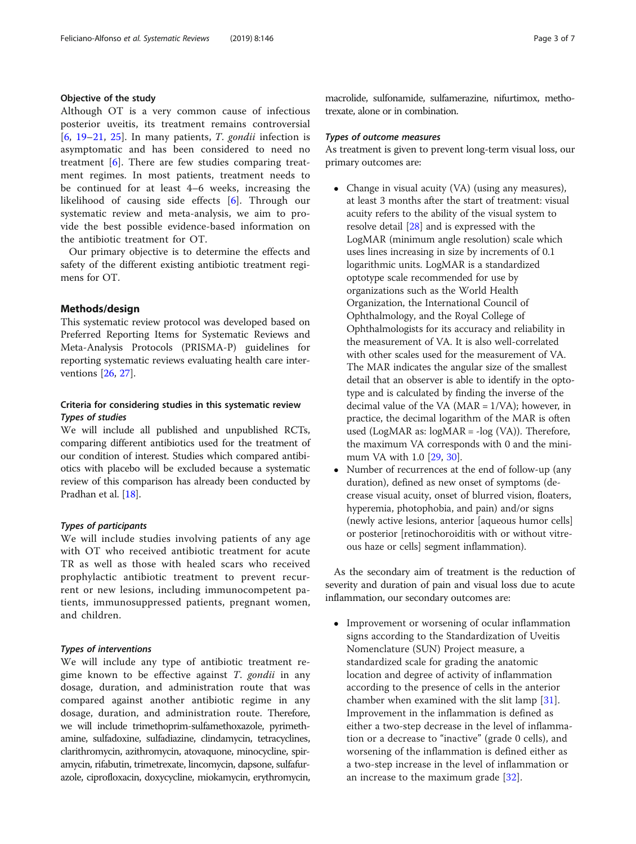#### Objective of the study

Although OT is a very common cause of infectious posterior uveitis, its treatment remains controversial [[6,](#page-5-0) [19](#page-6-0)–[21](#page-6-0), [25](#page-6-0)]. In many patients, T. gondii infection is asymptomatic and has been considered to need no treatment [\[6](#page-5-0)]. There are few studies comparing treatment regimes. In most patients, treatment needs to be continued for at least 4–6 weeks, increasing the likelihood of causing side effects [\[6](#page-5-0)]. Through our systematic review and meta-analysis, we aim to provide the best possible evidence-based information on the antibiotic treatment for OT.

Our primary objective is to determine the effects and safety of the different existing antibiotic treatment regimens for OT.

#### Methods/design

This systematic review protocol was developed based on Preferred Reporting Items for Systematic Reviews and Meta-Analysis Protocols (PRISMA-P) guidelines for reporting systematic reviews evaluating health care interventions [\[26,](#page-6-0) [27\]](#page-6-0).

#### Criteria for considering studies in this systematic review Types of studies

We will include all published and unpublished RCTs, comparing different antibiotics used for the treatment of our condition of interest. Studies which compared antibiotics with placebo will be excluded because a systematic review of this comparison has already been conducted by Pradhan et al. [\[18\]](#page-6-0).

#### Types of participants

We will include studies involving patients of any age with OT who received antibiotic treatment for acute TR as well as those with healed scars who received prophylactic antibiotic treatment to prevent recurrent or new lesions, including immunocompetent patients, immunosuppressed patients, pregnant women, and children.

#### Types of interventions

We will include any type of antibiotic treatment regime known to be effective against T. gondii in any dosage, duration, and administration route that was compared against another antibiotic regime in any dosage, duration, and administration route. Therefore, we will include trimethoprim-sulfamethoxazole, pyrimethamine, sulfadoxine, sulfadiazine, clindamycin, tetracyclines, clarithromycin, azithromycin, atovaquone, minocycline, spiramycin, rifabutin, trimetrexate, lincomycin, dapsone, sulfafurazole, ciprofloxacin, doxycycline, miokamycin, erythromycin,

macrolide, sulfonamide, sulfamerazine, nifurtimox, methotrexate, alone or in combination.

#### Types of outcome measures

As treatment is given to prevent long-term visual loss, our primary outcomes are:

- Change in visual acuity (VA) (using any measures), at least 3 months after the start of treatment: visual acuity refers to the ability of the visual system to resolve detail [\[28](#page-6-0)] and is expressed with the LogMAR (minimum angle resolution) scale which uses lines increasing in size by increments of 0.1 logarithmic units. LogMAR is a standardized optotype scale recommended for use by organizations such as the World Health Organization, the International Council of Ophthalmology, and the Royal College of Ophthalmologists for its accuracy and reliability in the measurement of VA. It is also well-correlated with other scales used for the measurement of VA. The MAR indicates the angular size of the smallest detail that an observer is able to identify in the optotype and is calculated by finding the inverse of the decimal value of the VA (MAR = 1/VA); however, in practice, the decimal logarithm of the MAR is often used (LogMAR as: logMAR = -log (VA)). Therefore, the maximum VA corresponds with 0 and the minimum VA with 1.0 [[29](#page-6-0), [30\]](#page-6-0).
- Number of recurrences at the end of follow-up (any duration), defined as new onset of symptoms (decrease visual acuity, onset of blurred vision, floaters, hyperemia, photophobia, and pain) and/or signs (newly active lesions, anterior [aqueous humor cells] or posterior [retinochoroiditis with or without vitreous haze or cells] segment inflammation).

As the secondary aim of treatment is the reduction of severity and duration of pain and visual loss due to acute inflammation, our secondary outcomes are:

 Improvement or worsening of ocular inflammation signs according to the Standardization of Uveitis Nomenclature (SUN) Project measure, a standardized scale for grading the anatomic location and degree of activity of inflammation according to the presence of cells in the anterior chamber when examined with the slit lamp [\[31](#page-6-0)]. Improvement in the inflammation is defined as either a two-step decrease in the level of inflammation or a decrease to "inactive" (grade 0 cells), and worsening of the inflammation is defined either as a two-step increase in the level of inflammation or an increase to the maximum grade [\[32\]](#page-6-0).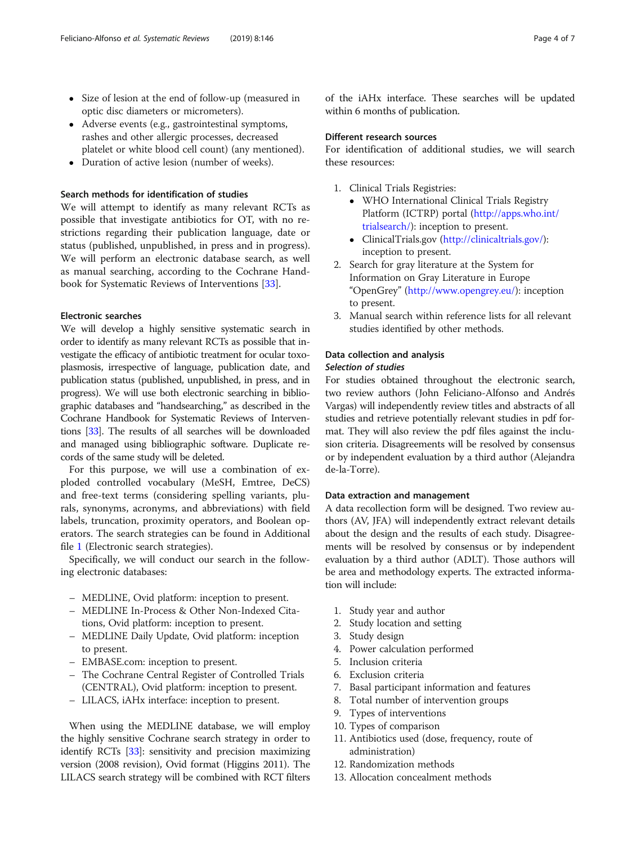- Size of lesion at the end of follow-up (measured in optic disc diameters or micrometers).
- Adverse events (e.g., gastrointestinal symptoms, rashes and other allergic processes, decreased platelet or white blood cell count) (any mentioned).
- Duration of active lesion (number of weeks).

#### Search methods for identification of studies

We will attempt to identify as many relevant RCTs as possible that investigate antibiotics for OT, with no restrictions regarding their publication language, date or status (published, unpublished, in press and in progress). We will perform an electronic database search, as well as manual searching, according to the Cochrane Handbook for Systematic Reviews of Interventions [\[33\]](#page-6-0).

#### Electronic searches

We will develop a highly sensitive systematic search in order to identify as many relevant RCTs as possible that investigate the efficacy of antibiotic treatment for ocular toxoplasmosis, irrespective of language, publication date, and publication status (published, unpublished, in press, and in progress). We will use both electronic searching in bibliographic databases and "handsearching," as described in the Cochrane Handbook for Systematic Reviews of Interventions [[33](#page-6-0)]. The results of all searches will be downloaded and managed using bibliographic software. Duplicate records of the same study will be deleted.

For this purpose, we will use a combination of exploded controlled vocabulary (MeSH, Emtree, DeCS) and free-text terms (considering spelling variants, plurals, synonyms, acronyms, and abbreviations) with field labels, truncation, proximity operators, and Boolean operators. The search strategies can be found in Additional file [1](#page-5-0) (Electronic search strategies).

Specifically, we will conduct our search in the following electronic databases:

- MEDLINE, Ovid platform: inception to present.
- MEDLINE In-Process & Other Non-Indexed Citations, Ovid platform: inception to present.
- MEDLINE Daily Update, Ovid platform: inception to present.
- EMBASE.com: inception to present.
- The Cochrane Central Register of Controlled Trials (CENTRAL), Ovid platform: inception to present.
- LILACS, iAHx interface: inception to present.

When using the MEDLINE database, we will employ the highly sensitive Cochrane search strategy in order to identify RCTs [[33](#page-6-0)]: sensitivity and precision maximizing version (2008 revision), Ovid format (Higgins 2011). The LILACS search strategy will be combined with RCT filters of the iAHx interface. These searches will be updated within 6 months of publication.

#### Different research sources

For identification of additional studies, we will search these resources:

- 1. Clinical Trials Registries:
	- WHO International Clinical Trials Registry Platform (ICTRP) portal ([http://apps.who.int/](http://apps.who.int/trialsearch/) [trialsearch/\)](http://apps.who.int/trialsearch/): inception to present.
	- ClinicalTrials.gov [\(http://clinicaltrials.gov/\)](http://clinicaltrials.gov/): inception to present.
- 2. Search for gray literature at the System for Information on Gray Literature in Europe "OpenGrey" [\(http://www.opengrey.eu/\)](http://www.opengrey.eu/): inception to present.
- 3. Manual search within reference lists for all relevant studies identified by other methods.

#### Data collection and analysis Selection of studies

For studies obtained throughout the electronic search, two review authors (John Feliciano-Alfonso and Andrés Vargas) will independently review titles and abstracts of all studies and retrieve potentially relevant studies in pdf format. They will also review the pdf files against the inclusion criteria. Disagreements will be resolved by consensus or by independent evaluation by a third author (Alejandra de-la-Torre).

#### Data extraction and management

A data recollection form will be designed. Two review authors (AV, JFA) will independently extract relevant details about the design and the results of each study. Disagreements will be resolved by consensus or by independent evaluation by a third author (ADLT). Those authors will be area and methodology experts. The extracted information will include:

- 1. Study year and author
- 2. Study location and setting
- 3. Study design
- 4. Power calculation performed
- 5. Inclusion criteria
- 6. Exclusion criteria
- 7. Basal participant information and features
- 8. Total number of intervention groups
- 9. Types of interventions
- 10. Types of comparison
- 11. Antibiotics used (dose, frequency, route of administration)
- 12. Randomization methods
- 13. Allocation concealment methods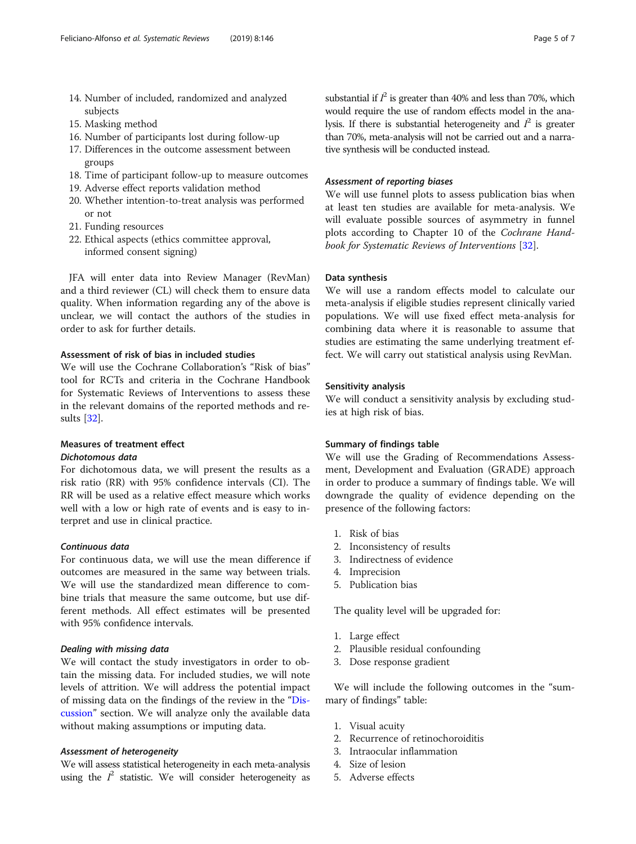- 14. Number of included, randomized and analyzed subjects
- 15. Masking method
- 16. Number of participants lost during follow-up
- 17. Differences in the outcome assessment between groups
- 18. Time of participant follow-up to measure outcomes
- 19. Adverse effect reports validation method
- 20. Whether intention-to-treat analysis was performed or not
- 21. Funding resources
- 22. Ethical aspects (ethics committee approval, informed consent signing)

JFA will enter data into Review Manager (RevMan) and a third reviewer (CL) will check them to ensure data quality. When information regarding any of the above is unclear, we will contact the authors of the studies in order to ask for further details.

#### Assessment of risk of bias in included studies

We will use the Cochrane Collaboration's "Risk of bias" tool for RCTs and criteria in the Cochrane Handbook for Systematic Reviews of Interventions to assess these in the relevant domains of the reported methods and results [[32](#page-6-0)].

## Measures of treatment effect

### Dichotomous data

For dichotomous data, we will present the results as a risk ratio (RR) with 95% confidence intervals (CI). The RR will be used as a relative effect measure which works well with a low or high rate of events and is easy to interpret and use in clinical practice.

#### Continuous data

For continuous data, we will use the mean difference if outcomes are measured in the same way between trials. We will use the standardized mean difference to combine trials that measure the same outcome, but use different methods. All effect estimates will be presented with 95% confidence intervals.

#### Dealing with missing data

We will contact the study investigators in order to obtain the missing data. For included studies, we will note levels of attrition. We will address the potential impact of missing data on the findings of the review in the "[Dis](#page-5-0)[cussion](#page-5-0)" section. We will analyze only the available data without making assumptions or imputing data.

#### Assessment of heterogeneity

We will assess statistical heterogeneity in each meta-analysis using the  $l^2$  statistic. We will consider heterogeneity as

substantial if  $I^2$  is greater than 40% and less than 70%, which would require the use of random effects model in the analysis. If there is substantial heterogeneity and  $l^2$  is greater than 70%, meta-analysis will not be carried out and a narrative synthesis will be conducted instead.

#### Assessment of reporting biases

We will use funnel plots to assess publication bias when at least ten studies are available for meta-analysis. We will evaluate possible sources of asymmetry in funnel plots according to Chapter 10 of the Cochrane Handbook for Systematic Reviews of Interventions [\[32](#page-6-0)].

#### Data synthesis

We will use a random effects model to calculate our meta-analysis if eligible studies represent clinically varied populations. We will use fixed effect meta-analysis for combining data where it is reasonable to assume that studies are estimating the same underlying treatment effect. We will carry out statistical analysis using RevMan.

#### Sensitivity analysis

We will conduct a sensitivity analysis by excluding studies at high risk of bias.

#### Summary of findings table

We will use the Grading of Recommendations Assessment, Development and Evaluation (GRADE) approach in order to produce a summary of findings table. We will downgrade the quality of evidence depending on the presence of the following factors:

- 1. Risk of bias
- 2. Inconsistency of results
- 3. Indirectness of evidence
- 4. Imprecision
- 5. Publication bias

The quality level will be upgraded for:

- 1. Large effect
- 2. Plausible residual confounding
- 3. Dose response gradient

We will include the following outcomes in the "summary of findings" table:

- 1. Visual acuity
- 2. Recurrence of retinochoroiditis
- 3. Intraocular inflammation
- 4. Size of lesion
- 5. Adverse effects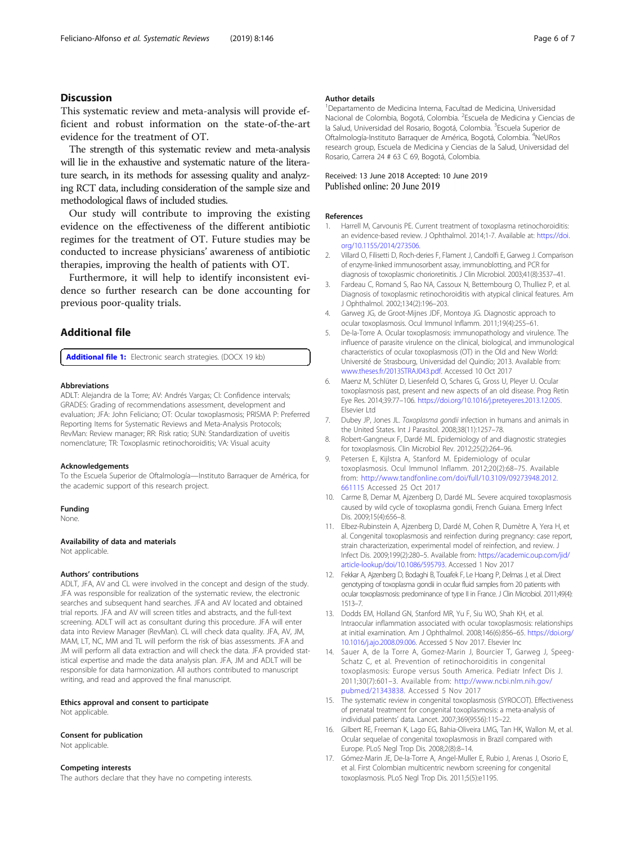#### <span id="page-5-0"></span>**Discussion**

This systematic review and meta-analysis will provide efficient and robust information on the state-of-the-art evidence for the treatment of OT.

The strength of this systematic review and meta-analysis will lie in the exhaustive and systematic nature of the literature search, in its methods for assessing quality and analyzing RCT data, including consideration of the sample size and methodological flaws of included studies.

Our study will contribute to improving the existing evidence on the effectiveness of the different antibiotic regimes for the treatment of OT. Future studies may be conducted to increase physicians' awareness of antibiotic therapies, improving the health of patients with OT.

Furthermore, it will help to identify inconsistent evidence so further research can be done accounting for previous poor-quality trials.

#### Additional file

[Additional file 1:](https://doi.org/10.1186/s13643-019-1067-8) Electronic search strategies. (DOCX 19 kb)

#### Abbreviations

ADLT: Alejandra de la Torre; AV: Andrés Vargas; CI: Confidence intervals; GRADES: Grading of recommendations assessment, development and evaluation; JFA: John Feliciano; OT: Ocular toxoplasmosis; PRISMA P: Preferred Reporting Items for Systematic Reviews and Meta-Analysis Protocols; RevMan: Review manager; RR: Risk ratio; SUN: Standardization of uveitis nomenclature; TR: Toxoplasmic retinochoroiditis; VA: Visual acuity

#### Acknowledgements

To the Escuela Superior de Oftalmología—Instituto Barraquer de América, for the academic support of this research project.

#### Funding

None.

#### Availability of data and materials

Not applicable.

#### Authors' contributions

ADLT, JFA, AV and CL were involved in the concept and design of the study. JFA was responsible for realization of the systematic review, the electronic searches and subsequent hand searches. JFA and AV located and obtained trial reports. JFA and AV will screen titles and abstracts, and the full-text screening. ADLT will act as consultant during this procedure. JFA will enter data into Review Manager (RevMan). CL will check data quality. JFA, AV, JM, MAM, LT, NC, MM and TL will perform the risk of bias assessments. JFA and JM will perform all data extraction and will check the data. JFA provided statistical expertise and made the data analysis plan. JFA, JM and ADLT will be responsible for data harmonization. All authors contributed to manuscript writing, and read and approved the final manuscript.

## Ethics approval and consent to participate

Not applicable.

#### Consent for publication

Not applicable.

#### Competing interests

The authors declare that they have no competing interests.

#### Author details

1 Departamento de Medicina Interna, Facultad de Medicina, Universidad Nacional de Colombia, Bogotá, Colombia. <sup>2</sup>Escuela de Medicina y Ciencias de la Salud, Universidad del Rosario, Bogotá, Colombia. <sup>3</sup>Escuela Superior de Oftalmología-Instituto Barraquer de América, Bogotá, Colombia. <sup>4</sup>NeURos research group, Escuela de Medicina y Ciencias de la Salud, Universidad del Rosario, Carrera 24 # 63 C 69, Bogotá, Colombia.

## Received: 13 June 2018 Accepted: 10 June 2019<br>Published online: 20 June 2019

#### References

- 1. Harrell M, Carvounis PE. Current treatment of toxoplasma retinochoroiditis: an evidence-based review. J Ophthalmol. 2014;1-7. Available at: [https://doi.](https://doi.org/10.1155/2014/273506) [org/10.1155/2014/273506.](https://doi.org/10.1155/2014/273506)
- 2. Villard O, Filisetti D, Roch-deries F, Flament J, Candolfi E, Garweg J. Comparison of enzyme-linked immunosorbent assay, immunoblotting, and PCR for diagnosis of toxoplasmic chorioretinitis. J Clin Microbiol. 2003;41(8):3537–41.
- 3. Fardeau C, Romand S, Rao NA, Cassoux N, Bettembourg O, Thulliez P, et al. Diagnosis of toxoplasmic retinochoroiditis with atypical clinical features. Am J Ophthalmol. 2002;134(2):196–203.
- 4. Garweg JG, de Groot-Mijnes JDF, Montoya JG. Diagnostic approach to ocular toxoplasmosis. Ocul Immunol Inflamm. 2011;19(4):255–61.
- 5. De-la-Torre A. Ocular toxoplasmosis: immunopathology and virulence. The influence of parasite virulence on the clinical, biological, and immunological characteristics of ocular toxoplasmosis (OT) in the Old and New World: Université de Strasbourg, Universidad del Quindío; 2013. Available from: [www.theses.fr/2013STRAJ043.pdf](http://www.theses.fr/2013STRAJ043.pdf). Accessed 10 Oct 2017
- 6. Maenz M, Schlüter D, Liesenfeld O, Schares G, Gross U, Pleyer U. Ocular toxoplasmosis past, present and new aspects of an old disease. Prog Retin Eye Res. 2014;39:77–106. <https://doi.org/10.1016/j.preteyeres.2013.12.005>. Elsevier Ltd
- 7. Dubey JP, Jones JL. Toxoplasma gondii infection in humans and animals in the United States. Int J Parasitol. 2008;38(11):1257–78.
- 8. Robert-Gangneux F, Dardé ML. Epidemiology of and diagnostic strategies for toxoplasmosis. Clin Microbiol Rev. 2012;25(2):264–96.
- 9. Petersen E, Kijlstra A, Stanford M. Epidemiology of ocular toxoplasmosis. Ocul Immunol Inflamm. 2012;20(2):68–75. Available from: [http://www.tandfonline.com/doi/full/10.3109/09273948.2012.](http://www.tandfonline.com/doi/full/10.3109/09273948.2012.661115) [661115](http://www.tandfonline.com/doi/full/10.3109/09273948.2012.661115) Accessed 25 Oct 2017
- 10. Carme B, Demar M, Ajzenberg D, Dardé ML. Severe acquired toxoplasmosis caused by wild cycle of toxoplasma gondii, French Guiana. Emerg Infect Dis. 2009;15(4):656–8.
- 11. Elbez-Rubinstein A, Ajzenberg D, Dardé M, Cohen R, Dumètre A, Yera H, et al. Congenital toxoplasmosis and reinfection during pregnancy: case report, strain characterization, experimental model of reinfection, and review. J Infect Dis. 2009;199(2):280–5. Available from: [https://academic.oup.com/jid/](https://academic.oup.com/jid/article-lookup/doi/10.1086/595793) [article-lookup/doi/10.1086/595793.](https://academic.oup.com/jid/article-lookup/doi/10.1086/595793) Accessed 1 Nov 2017
- 12. Fekkar A, Ajzenberg D, Bodaghi B, Touafek F, Le Hoang P, Delmas J, et al. Direct genotyping of toxoplasma gondii in ocular fluid samples from 20 patients with ocular toxoplasmosis: predominance of type II in France. J Clin Microbiol. 2011;49(4): 1513–7.
- 13. Dodds EM, Holland GN, Stanford MR, Yu F, Siu WO, Shah KH, et al. Intraocular inflammation associated with ocular toxoplasmosis: relationships at initial examination. Am J Ophthalmol. 2008;146(6):856–65. [https://doi.org/](https://doi.org/10.1016/j.ajo.2008.09.006) [10.1016/j.ajo.2008.09.006](https://doi.org/10.1016/j.ajo.2008.09.006). Accessed 5 Nov 2017. Elsevier Inc
- 14. Sauer A, de la Torre A, Gomez-Marin J, Bourcier T, Garweg J, Speeg-Schatz C, et al. Prevention of retinochoroiditis in congenital toxoplasmosis: Europe versus South America. Pediatr Infect Dis J. 2011;30(7):601–3. Available from: [http://www.ncbi.nlm.nih.gov/](http://www.ncbi.nlm.nih.gov/pubmed/21343838) [pubmed/21343838](http://www.ncbi.nlm.nih.gov/pubmed/21343838). Accessed 5 Nov 2017
- 15. The systematic review in congenital toxoplasmosis (SYROCOT). Effectiveness of prenatal treatment for congenital toxoplasmosis: a meta-analysis of individual patients' data. Lancet. 2007;369(9556):115–22.
- 16. Gilbert RE, Freeman K, Lago EG, Bahia-Oliveira LMG, Tan HK, Wallon M, et al. Ocular sequelae of congenital toxoplasmosis in Brazil compared with Europe. PLoS Negl Trop Dis. 2008;2(8):8–14.
- 17. Gómez-Marin JE, De-la-Torre A, Angel-Muller E, Rubio J, Arenas J, Osorio E, et al. First Colombian multicentric newborn screening for congenital toxoplasmosis. PLoS Negl Trop Dis. 2011;5(5):e1195.